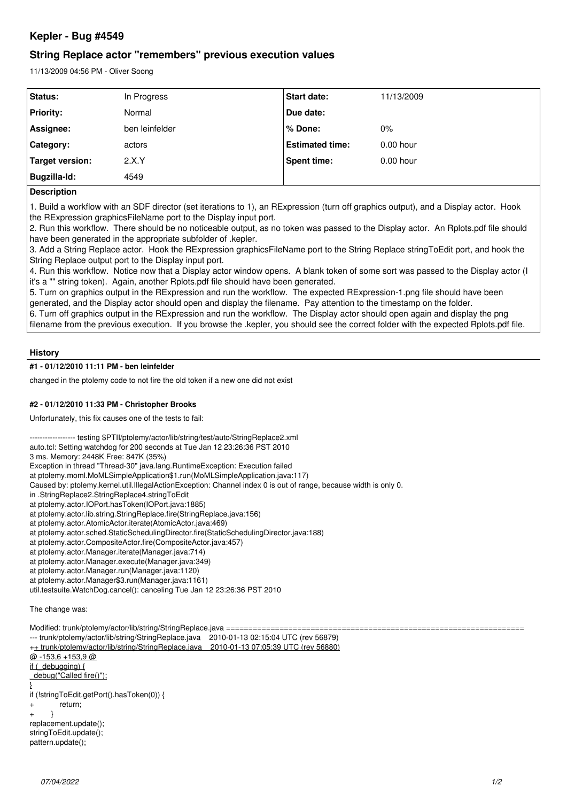# **Kepler - Bug #4549**

## **String Replace actor "remembers" previous execution values**

11/13/2009 04:56 PM - Oliver Soong

| <b>Status:</b>      | In Progress    | <b>Start date:</b>     | 11/13/2009  |
|---------------------|----------------|------------------------|-------------|
| <b>Priority:</b>    | Normal         | Due date:              |             |
| Assignee:           | ben leinfelder | % Done:                | $0\%$       |
| Category:           | actors         | <b>Estimated time:</b> | $0.00$ hour |
| Target version:     | 2.X.Y          | Spent time:            | $0.00$ hour |
| <b>Bugzilla-Id:</b> | 4549           |                        |             |

#### **Description**

1. Build a workflow with an SDF director (set iterations to 1), an RExpression (turn off graphics output), and a Display actor. Hook the RExpression graphicsFileName port to the Display input port.

2. Run this workflow. There should be no noticeable output, as no token was passed to the Display actor. An Rplots.pdf file should have been generated in the appropriate subfolder of .kepler.

3. Add a String Replace actor. Hook the RExpression graphicsFileName port to the String Replace stringToEdit port, and hook the String Replace output port to the Display input port.

4. Run this workflow. Notice now that a Display actor window opens. A blank token of some sort was passed to the Display actor (I it's a "" string token). Again, another Rplots.pdf file should have been generated.

5. Turn on graphics output in the RExpression and run the workflow. The expected RExpression-1.png file should have been generated, and the Display actor should open and display the filename. Pay attention to the timestamp on the folder. 6. Turn off graphics output in the RExpression and run the workflow. The Display actor should open again and display the png

filename from the previous execution. If you browse the .kepler, you should see the correct folder with the expected Rplots.pdf file.

## **History**

## **#1 - 01/12/2010 11:11 PM - ben leinfelder**

changed in the ptolemy code to not fire the old token if a new one did not exist

#### **#2 - 01/12/2010 11:33 PM - Christopher Brooks**

Unfortunately, this fix causes one of the tests to fail:

--- testing \$PTII/ptolemy/actor/lib/string/test/auto/StringReplace2.xml

auto.tcl: Setting watchdog for 200 seconds at Tue Jan 12 23:26:36 PST 2010

3 ms. Memory: 2448K Free: 847K (35%)

Exception in thread "Thread-30" java.lang.RuntimeException: Execution failed

at ptolemy.moml.MoMLSimpleApplication\$1.run(MoMLSimpleApplication.java:117)

Caused by: ptolemy.kernel.util.IllegalActionException: Channel index 0 is out of range, because width is only 0.

in .StringReplace2.StringReplace4.stringToEdit

at ptolemy.actor.IOPort.hasToken(IOPort.java:1885)

at ptolemy.actor.lib.string.StringReplace.fire(StringReplace.java:156)

at ptolemy.actor.AtomicActor.iterate(AtomicActor.java:469)

at ptolemy.actor.sched.StaticSchedulingDirector.fire(StaticSchedulingDirector.java:188)

at ptolemy.actor.CompositeActor.fire(CompositeActor.java:457)

at ptolemy.actor.Manager.iterate(Manager.java:714)

at ptolemy.actor.Manager.execute(Manager.java:349)

at ptolemy.actor.Manager.run(Manager.java:1120)

at ptolemy.actor.Manager\$3.run(Manager.java:1161)

util.testsuite.WatchDog.cancel(): canceling Tue Jan 12 23:26:36 PST 2010

The change was:

Modified: trunk/ptolemy/actor/lib/string/StringReplace.java ===================== --- trunk/ptolemy/actor/lib/string/StringReplace.java 2010-01-13 02:15:04 UTC (rev 56879) ++ trunk/ptolemy/actor/lib/string/StringReplace.java 2010-01-13 07:05:39 UTC (rev 56880)  $@ -153.6 +153.9@$ if (\_debugging) { \_debug("Called fire()"); } if (!stringToEdit.getPort().hasToken(0)) { + return; + } replacement.update(); stringToEdit.update();

pattern.update();